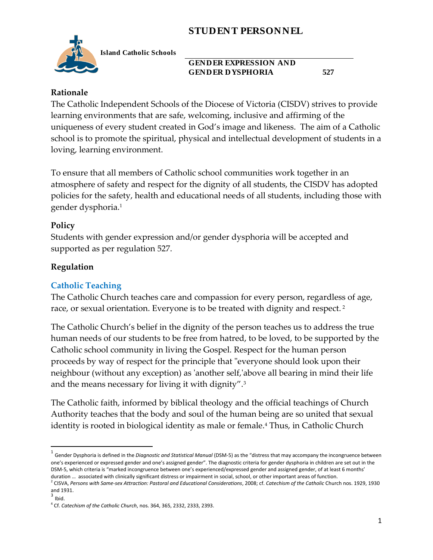

**Island Catholic Schools** 

#### **GENDER EXPRESSION AND GENDER DYSPHORIA 527**

#### **Rationale**

The Catholic Independent Schools of the Diocese of Victoria (CISDV) strives to provide learning environments that are safe, welcoming, inclusive and affirming of the uniqueness of every student created in God's image and likeness. The aim of a Catholic school is to promote the spiritual, physical and intellectual development of students in a loving, learning environment.

To ensure that all members of Catholic school communities work together in an atmosphere of safety and respect for the dignity of all students, the CISDV has adopted policies for the safety, health and educational needs of all students, including those with gender dysphoria.<sup>1</sup>

### **Policy**

Students with gender expression and/or gender dysphoria will be accepted and supported as per regulation 527.

### **Regulation**

## **Catholic Teaching**

The Catholic Church teaches care and compassion for every person, regardless of age, race, or sexual orientation. Everyone is to be treated with dignity and respect. <sup>2</sup>

The Catholic Church's belief in the dignity of the person teaches us to address the true human needs of our students to be free from hatred, to be loved, to be supported by the Catholic school community in living the Gospel. Respect for the human person proceeds by way of respect for the principle that "everyone should look upon their neighbour (without any exception) as 'another self,'above all bearing in mind their life and the means necessary for living it with dignity".<sup>3</sup>

The Catholic faith, informed by biblical theology and the official teachings of Church Authority teaches that the body and soul of the human being are so united that sexual identity is rooted in biological identity as male or female.<sup>4</sup> Thus, in Catholic Church

 $\overline{\phantom{a}}$ 

<sup>1</sup> Gender Dysphoria is defined in the *Diagnostic and Statistical Manual* (DSM-5) as the "distress that may accompany the incongruence between one's experienced or expressed gender and one's assigned gender". The diagnostic criteria for gender dysphoria in children are set out in the DSM-5, which criteria is "marked incongruence between one's experienced/expressed gender and assigned gender, of at least 6 months' duration … associated with clinically significant distress or impairment in social, school, or other important areas of function.

<sup>2</sup> CISVA, *Persons with Same-sex Attraction: Pastoral and Educational Considerations*, 2008; cf. *Catechism of the Catholic* Church nos. 1929, 1930 and 1931.

 $3$  Ibid.

<sup>4</sup> Cf. *Catechism of the Catholic Church*, nos. 364, 365, 2332, 2333, 2393.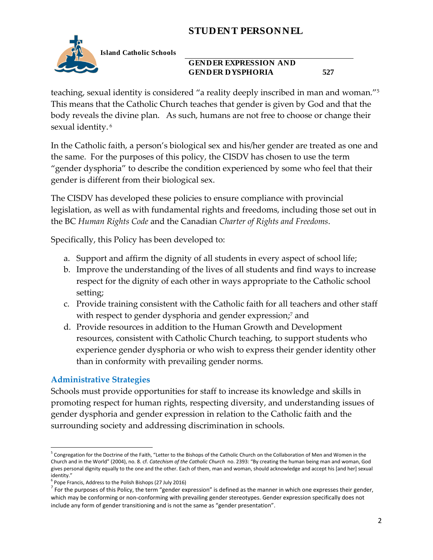

**Island Catholic Schools** 

#### **GENDER EXPRESSION AND GENDER DYSPHORIA 527**

teaching, sexual identity is considered "a reality deeply inscribed in man and woman."<sup>5</sup> This means that the Catholic Church teaches that gender is given by God and that the body reveals the divine plan. As such, humans are not free to choose or change their sexual identity.<sup>6</sup>

In the Catholic faith, a person's biological sex and his/her gender are treated as one and the same. For the purposes of this policy, the CISDV has chosen to use the term "gender dysphoria" to describe the condition experienced by some who feel that their gender is different from their biological sex.

The CISDV has developed these policies to ensure compliance with provincial legislation, as well as with fundamental rights and freedoms, including those set out in the BC *Human Rights Code* and the Canadian *Charter of Rights and Freedoms*.

Specifically, this Policy has been developed to:

- a. Support and affirm the dignity of all students in every aspect of school life;
- b. Improve the understanding of the lives of all students and find ways to increase respect for the dignity of each other in ways appropriate to the Catholic school setting;
- c. Provide training consistent with the Catholic faith for all teachers and other staff with respect to gender dysphoria and gender expression; <sup>7</sup> and
- d. Provide resources in addition to the Human Growth and Development resources, consistent with Catholic Church teaching, to support students who experience gender dysphoria or who wish to express their gender identity other than in conformity with prevailing gender norms.

#### **Administrative Strategies**

Schools must provide opportunities for staff to increase its knowledge and skills in promoting respect for human rights, respecting diversity, and understanding issues of gender dysphoria and gender expression in relation to the Catholic faith and the surrounding society and addressing discrimination in schools.

 5 Congregation for the Doctrine of the Faith, "Letter to the Bishops of the Catholic Church on the Collaboration of Men and Women in the Church and in the World" (2004), no. 8. cf. *Catechism of the Catholic Church* no. 2393: "By creating the human being man and woman, God gives personal dignity equally to the one and the other. Each of them, man and woman, should acknowledge and accept his [and her] sexual identity."

<sup>&</sup>lt;sup>6</sup> Pope Francis, Address to the Polish Bishops (27 July 2016)

 $^7$  For the purposes of this Policy, the term "gender expression" is defined as the manner in which one expresses their gender, which may be conforming or non-conforming with prevailing gender stereotypes. Gender expression specifically does not include any form of gender transitioning and is not the same as "gender presentation".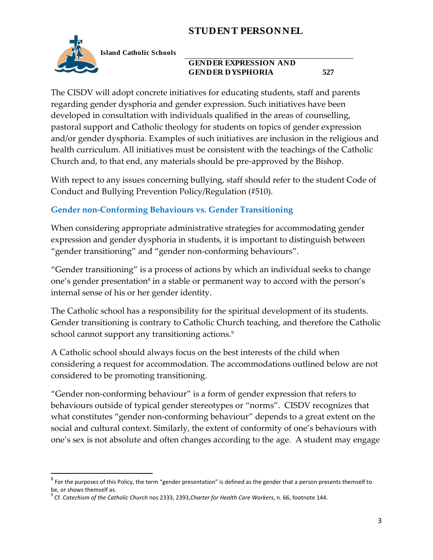

 $\overline{\phantom{a}}$ 

**Island Catholic Schools** 

#### **GENDER EXPRESSION AND GENDER DYSPHORIA 527**

The CISDV will adopt concrete initiatives for educating students, staff and parents regarding gender dysphoria and gender expression. Such initiatives have been developed in consultation with individuals qualified in the areas of counselling, pastoral support and Catholic theology for students on topics of gender expression and/or gender dysphoria. Examples of such initiatives are inclusion in the religious and health curriculum. All initiatives must be consistent with the teachings of the Catholic Church and, to that end, any materials should be pre-approved by the Bishop.

With repect to any issues concerning bullying, staff should refer to the student Code of Conduct and Bullying Prevention Policy/Regulation (#510).

## **Gender non-Conforming Behaviours vs. Gender Transitioning**

When considering appropriate administrative strategies for accommodating gender expression and gender dysphoria in students, it is important to distinguish between "gender transitioning" and "gender non-conforming behaviours".

"Gender transitioning" is a process of actions by which an individual seeks to change one's gender presentation $^8$  in a stable or permanent way to accord with the person's internal sense of his or her gender identity.

The Catholic school has a responsibility for the spiritual development of its students. Gender transitioning is contrary to Catholic Church teaching, and therefore the Catholic school cannot support any transitioning actions.<sup>9</sup>

A Catholic school should always focus on the best interests of the child when considering a request for accommodation. The accommodations outlined below are not considered to be promoting transitioning.

"Gender non-conforming behaviour" is a form of gender expression that refers to behaviours outside of typical gender stereotypes or "norms". CISDV recognizes that what constitutes "gender non-conforming behaviour" depends to a great extent on the social and cultural context. Similarly, the extent of conformity of one's behaviours with one's sex is not absolute and often changes according to the age. A student may engage

 $^8$  For the purposes of this Policy, the term "gender presentation" is defined as the gender that a person presents themself to be, or shows themself as.

<sup>9</sup> Cf. *Catechism of the Catholic Church* nos 2333, 2393,*Charter for Health Care Workers*, n. 66, footnote 144.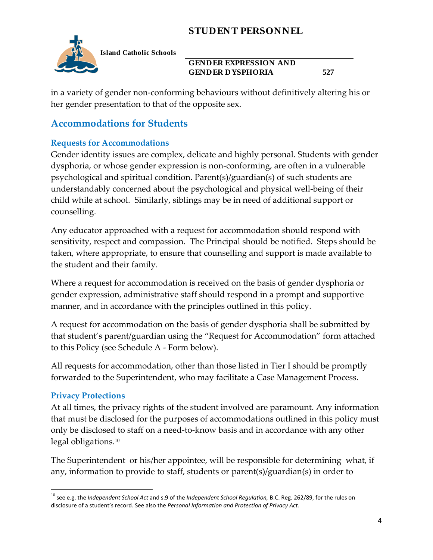

**Island Catholic Schools** 

#### **GENDER EXPRESSION AND GENDER DYSPHORIA 527**

in a variety of gender non-conforming behaviours without definitively altering his or her gender presentation to that of the opposite sex.

## **Accommodations for Students**

## **Requests for Accommodations**

Gender identity issues are complex, delicate and highly personal. Students with gender dysphoria, or whose gender expression is non-conforming, are often in a vulnerable psychological and spiritual condition. Parent(s)/guardian(s) of such students are understandably concerned about the psychological and physical well-being of their child while at school. Similarly, siblings may be in need of additional support or counselling.

Any educator approached with a request for accommodation should respond with sensitivity, respect and compassion. The Principal should be notified. Steps should be taken, where appropriate, to ensure that counselling and support is made available to the student and their family.

Where a request for accommodation is received on the basis of gender dysphoria or gender expression, administrative staff should respond in a prompt and supportive manner, and in accordance with the principles outlined in this policy.

A request for accommodation on the basis of gender dysphoria shall be submitted by that student's parent/guardian using the "Request for Accommodation" form attached to this Policy (see Schedule A - Form below).

All requests for accommodation, other than those listed in Tier I should be promptly forwarded to the Superintendent, who may facilitate a Case Management Process.

## **Privacy Protections**

At all times, the privacy rights of the student involved are paramount. Any information that must be disclosed for the purposes of accommodations outlined in this policy must only be disclosed to staff on a need-to-know basis and in accordance with any other legal obligations.<sup>10</sup>

The Superintendent or his/her appointee, will be responsible for determining what, if any, information to provide to staff, students or parent(s)/guardian(s) in order to

 $\overline{\phantom{a}}$ <sup>10</sup> see e.g. the *Independent School Act* and s.9 of the *Independent School Regulation,* B.C. Reg. 262/89, for the rules on disclosure of a student's record. See also the *Personal Information and Protection of Privacy Act*.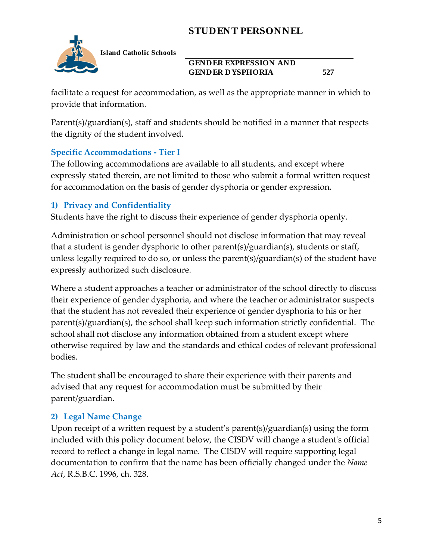

**Island Catholic Schools** 

### **GENDER EXPRESSION AND GENDER DYSPHORIA 527**

facilitate a request for accommodation, as well as the appropriate manner in which to provide that information.

Parent(s)/guardian(s), staff and students should be notified in a manner that respects the dignity of the student involved.

### **Specific Accommodations - Tier I**

The following accommodations are available to all students, and except where expressly stated therein, are not limited to those who submit a formal written request for accommodation on the basis of gender dysphoria or gender expression.

## **1) Privacy and Confidentiality**

Students have the right to discuss their experience of gender dysphoria openly.

Administration or school personnel should not disclose information that may reveal that a student is gender dysphoric to other parent(s)/guardian(s), students or staff, unless legally required to do so, or unless the parent(s)/guardian(s) of the student have expressly authorized such disclosure.

Where a student approaches a teacher or administrator of the school directly to discuss their experience of gender dysphoria, and where the teacher or administrator suspects that the student has not revealed their experience of gender dysphoria to his or her parent(s)/guardian(s), the school shall keep such information strictly confidential. The school shall not disclose any information obtained from a student except where otherwise required by law and the standards and ethical codes of relevant professional bodies.

The student shall be encouraged to share their experience with their parents and advised that any request for accommodation must be submitted by their parent/guardian.

## **2) Legal Name Change**

Upon receipt of a written request by a student's parent(s)/guardian(s) using the form included with this policy document below, the CISDV will change a student's official record to reflect a change in legal name. The CISDV will require supporting legal documentation to confirm that the name has been officially changed under the *Name Act*, R.S.B.C. 1996, ch. 328.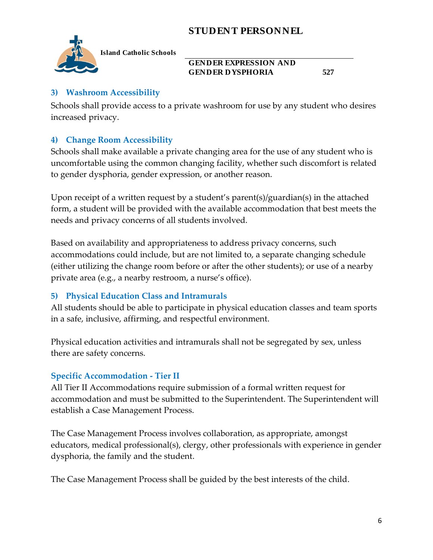

**Island Catholic Schools** 

#### **GENDER EXPRESSION AND GENDER DYSPHORIA 527**

#### **3) Washroom Accessibility**

Schools shall provide access to a private washroom for use by any student who desires increased privacy.

## **4) Change Room Accessibility**

Schools shall make available a private changing area for the use of any student who is uncomfortable using the common changing facility, whether such discomfort is related to gender dysphoria, gender expression, or another reason.

Upon receipt of a written request by a student's parent(s)/guardian(s) in the attached form, a student will be provided with the available accommodation that best meets the needs and privacy concerns of all students involved.

Based on availability and appropriateness to address privacy concerns, such accommodations could include, but are not limited to, a separate changing schedule (either utilizing the change room before or after the other students); or use of a nearby private area (e.g., a nearby restroom, a nurse's office).

### **5) Physical Education Class and Intramurals**

All students should be able to participate in physical education classes and team sports in a safe, inclusive, affirming, and respectful environment.

Physical education activities and intramurals shall not be segregated by sex, unless there are safety concerns.

### **Specific Accommodation - Tier II**

All Tier II Accommodations require submission of a formal written request for accommodation and must be submitted to the Superintendent. The Superintendent will establish a Case Management Process.

The Case Management Process involves collaboration, as appropriate, amongst educators, medical professional(s), clergy, other professionals with experience in gender dysphoria, the family and the student.

The Case Management Process shall be guided by the best interests of the child.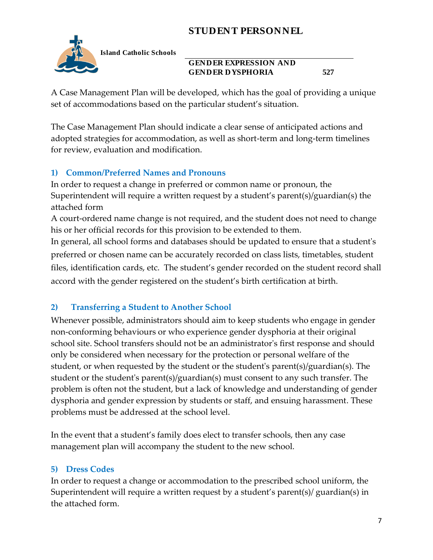

**Island Catholic Schools** 

#### **GENDER EXPRESSION AND GENDER DYSPHORIA 527**

A Case Management Plan will be developed, which has the goal of providing a unique set of accommodations based on the particular student's situation.

The Case Management Plan should indicate a clear sense of anticipated actions and adopted strategies for accommodation, as well as short-term and long-term timelines for review, evaluation and modification.

### **1) Common/Preferred Names and Pronouns**

In order to request a change in preferred or common name or pronoun, the Superintendent will require a written request by a student's parent(s)/guardian(s) the attached form

A court-ordered name change is not required, and the student does not need to change his or her official records for this provision to be extended to them.

In general, all school forms and databases should be updated to ensure that a student's preferred or chosen name can be accurately recorded on class lists, timetables, student files, identification cards, etc. The student's gender recorded on the student record shall accord with the gender registered on the student's birth certification at birth.

### **2) Transferring a Student to Another School**

Whenever possible, administrators should aim to keep students who engage in gender non-conforming behaviours or who experience gender dysphoria at their original school site. School transfers should not be an administrator's first response and should only be considered when necessary for the protection or personal welfare of the student, or when requested by the student or the student's parent(s)/guardian(s). The student or the student's parent(s)/guardian(s) must consent to any such transfer. The problem is often not the student, but a lack of knowledge and understanding of gender dysphoria and gender expression by students or staff, and ensuing harassment. These problems must be addressed at the school level.

In the event that a student's family does elect to transfer schools, then any case management plan will accompany the student to the new school.

#### **5) Dress Codes**

In order to request a change or accommodation to the prescribed school uniform, the Superintendent will require a written request by a student's parent(s)/ guardian(s) in the attached form.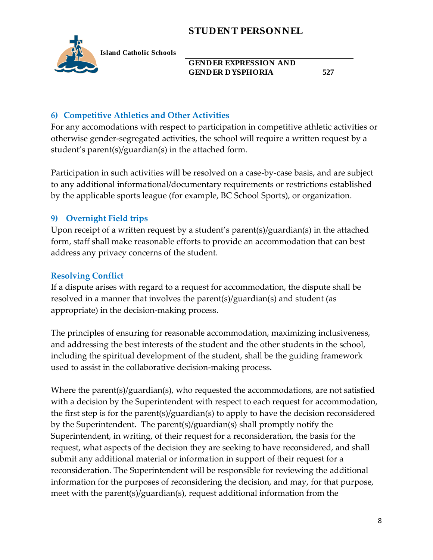

**Island Catholic Schools** 

#### **GENDER EXPRESSION AND GENDER DYSPHORIA 527**

### **6) Competitive Athletics and Other Activities**

For any accomodations with respect to participation in competitive athletic activities or otherwise gender-segregated activities, the school will require a written request by a student's parent(s)/guardian(s) in the attached form.

Participation in such activities will be resolved on a case-by-case basis, and are subject to any additional informational/documentary requirements or restrictions established by the applicable sports league (for example, BC School Sports), or organization.

### **9) Overnight Field trips**

Upon receipt of a written request by a student's parent(s)/guardian(s) in the attached form, staff shall make reasonable efforts to provide an accommodation that can best address any privacy concerns of the student.

### **Resolving Conflict**

If a dispute arises with regard to a request for accommodation, the dispute shall be resolved in a manner that involves the parent(s)/guardian(s) and student (as appropriate) in the decision-making process.

The principles of ensuring for reasonable accommodation, maximizing inclusiveness, and addressing the best interests of the student and the other students in the school, including the spiritual development of the student, shall be the guiding framework used to assist in the collaborative decision-making process.

Where the parent(s)/guardian(s), who requested the accommodations, are not satisfied with a decision by the Superintendent with respect to each request for accommodation, the first step is for the parent(s)/guardian(s) to apply to have the decision reconsidered by the Superintendent. The parent(s)/guardian(s) shall promptly notify the Superintendent, in writing, of their request for a reconsideration, the basis for the request, what aspects of the decision they are seeking to have reconsidered, and shall submit any additional material or information in support of their request for a reconsideration. The Superintendent will be responsible for reviewing the additional information for the purposes of reconsidering the decision, and may, for that purpose, meet with the parent(s)/guardian(s), request additional information from the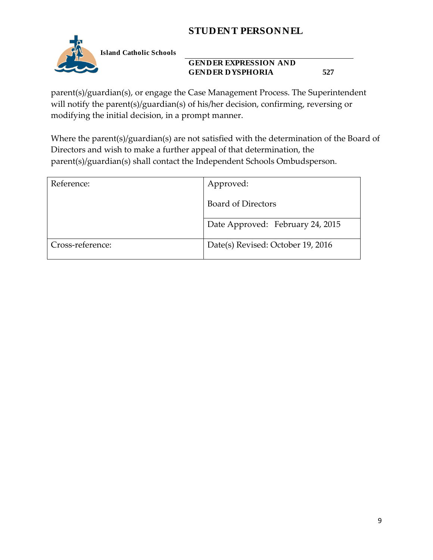

**Island Catholic Schools** 

### **GENDER EXPRESSION AND GENDER DYSPHORIA 527**

parent(s)/guardian(s), or engage the Case Management Process. The Superintendent will notify the parent(s)/guardian(s) of his/her decision, confirming, reversing or modifying the initial decision, in a prompt manner.

Where the parent(s)/guardian(s) are not satisfied with the determination of the Board of Directors and wish to make a further appeal of that determination, the parent(s)/guardian(s) shall contact the Independent Schools Ombudsperson.

| Reference:       | Approved:                         |
|------------------|-----------------------------------|
|                  | <b>Board of Directors</b>         |
|                  | Date Approved: February 24, 2015  |
| Cross-reference: | Date(s) Revised: October 19, 2016 |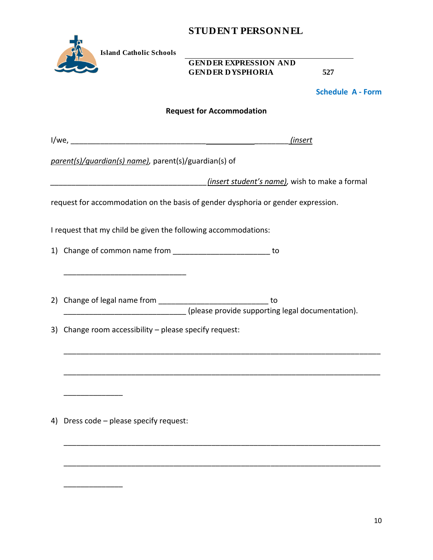|    |                                                                | 91 CD EN 1 1 ENSON NED                                                           |                          |
|----|----------------------------------------------------------------|----------------------------------------------------------------------------------|--------------------------|
|    | <b>Island Catholic Schools</b>                                 | <b>GENDER EXPRESSION AND</b>                                                     |                          |
|    | <b>GENDER DYSPHORIA</b>                                        | 527                                                                              |                          |
|    |                                                                |                                                                                  | <b>Schedule A - Form</b> |
|    |                                                                | <b>Request for Accommodation</b>                                                 |                          |
|    |                                                                | (insert                                                                          |                          |
|    | parent(s)/quardian(s) name), parent(s)/guardian(s) of          |                                                                                  |                          |
|    |                                                                | (insert student's name), wish to make a formal                                   |                          |
|    |                                                                | request for accommodation on the basis of gender dysphoria or gender expression. |                          |
|    | I request that my child be given the following accommodations: |                                                                                  |                          |
|    |                                                                |                                                                                  |                          |
|    | 1) Change of common name from _____________________________ to |                                                                                  |                          |
|    |                                                                |                                                                                  |                          |
|    |                                                                | to                                                                               |                          |
|    |                                                                | (please provide supporting legal documentation).                                 |                          |
|    | 3) Change room accessibility - please specify request:         |                                                                                  |                          |
|    |                                                                |                                                                                  |                          |
|    |                                                                |                                                                                  |                          |
|    |                                                                |                                                                                  |                          |
|    |                                                                |                                                                                  |                          |
| 4) | Dress code - please specify request:                           |                                                                                  |                          |
|    |                                                                |                                                                                  |                          |
|    |                                                                |                                                                                  |                          |
|    |                                                                |                                                                                  |                          |
|    |                                                                |                                                                                  |                          |
|    |                                                                |                                                                                  |                          |